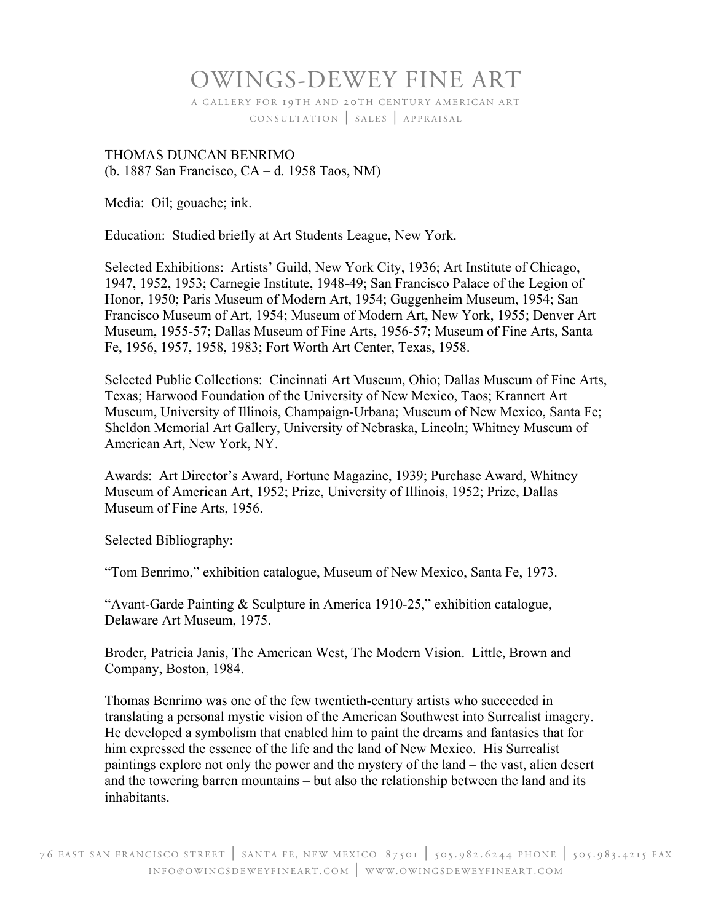## OWINGS-DEWEY FINE ART

A GALLERY FOR 19TH AND 20TH CENTURY AMERICAN ART CONSULTATION | SALES | APPRAISAL

## THOMAS DUNCAN BENRIMO (b. 1887 San Francisco, CA – d. 1958 Taos, NM)

Media: Oil; gouache; ink.

Education: Studied briefly at Art Students League, New York.

Selected Exhibitions: Artists' Guild, New York City, 1936; Art Institute of Chicago, 1947, 1952, 1953; Carnegie Institute, 1948-49; San Francisco Palace of the Legion of Honor, 1950; Paris Museum of Modern Art, 1954; Guggenheim Museum, 1954; San Francisco Museum of Art, 1954; Museum of Modern Art, New York, 1955; Denver Art Museum, 1955-57; Dallas Museum of Fine Arts, 1956-57; Museum of Fine Arts, Santa Fe, 1956, 1957, 1958, 1983; Fort Worth Art Center, Texas, 1958.

Selected Public Collections: Cincinnati Art Museum, Ohio; Dallas Museum of Fine Arts, Texas; Harwood Foundation of the University of New Mexico, Taos; Krannert Art Museum, University of Illinois, Champaign-Urbana; Museum of New Mexico, Santa Fe; Sheldon Memorial Art Gallery, University of Nebraska, Lincoln; Whitney Museum of American Art, New York, NY.

Awards: Art Director's Award, Fortune Magazine, 1939; Purchase Award, Whitney Museum of American Art, 1952; Prize, University of Illinois, 1952; Prize, Dallas Museum of Fine Arts, 1956.

Selected Bibliography:

"Tom Benrimo," exhibition catalogue, Museum of New Mexico, Santa Fe, 1973.

"Avant-Garde Painting & Sculpture in America 1910-25," exhibition catalogue, Delaware Art Museum, 1975.

Broder, Patricia Janis, The American West, The Modern Vision. Little, Brown and Company, Boston, 1984.

Thomas Benrimo was one of the few twentieth-century artists who succeeded in translating a personal mystic vision of the American Southwest into Surrealist imagery. He developed a symbolism that enabled him to paint the dreams and fantasies that for him expressed the essence of the life and the land of New Mexico. His Surrealist paintings explore not only the power and the mystery of the land – the vast, alien desert and the towering barren mountains – but also the relationship between the land and its inhabitants.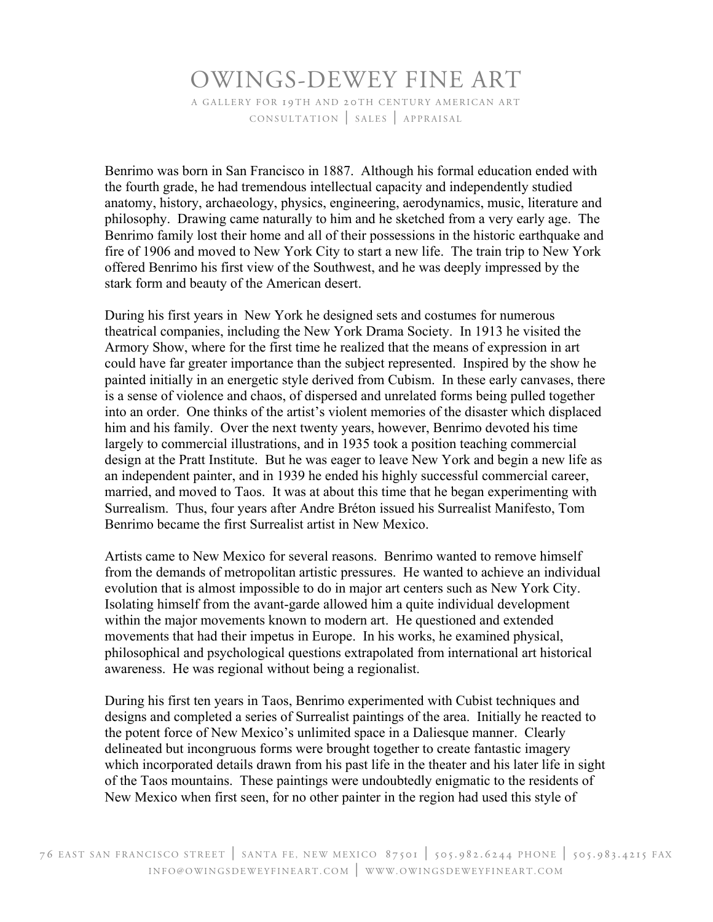## OWINGS-DEWEY FINE ART A GALLERY FOR 19TH AND 20TH CENTURY AMERICAN ART CONSULTATION | SALES | APPRAISAL

Benrimo was born in San Francisco in 1887. Although his formal education ended with the fourth grade, he had tremendous intellectual capacity and independently studied anatomy, history, archaeology, physics, engineering, aerodynamics, music, literature and philosophy. Drawing came naturally to him and he sketched from a very early age. The Benrimo family lost their home and all of their possessions in the historic earthquake and fire of 1906 and moved to New York City to start a new life. The train trip to New York offered Benrimo his first view of the Southwest, and he was deeply impressed by the stark form and beauty of the American desert.

During his first years in New York he designed sets and costumes for numerous theatrical companies, including the New York Drama Society. In 1913 he visited the Armory Show, where for the first time he realized that the means of expression in art could have far greater importance than the subject represented. Inspired by the show he painted initially in an energetic style derived from Cubism. In these early canvases, there is a sense of violence and chaos, of dispersed and unrelated forms being pulled together into an order. One thinks of the artist's violent memories of the disaster which displaced him and his family. Over the next twenty years, however, Benrimo devoted his time largely to commercial illustrations, and in 1935 took a position teaching commercial design at the Pratt Institute. But he was eager to leave New York and begin a new life as an independent painter, and in 1939 he ended his highly successful commercial career, married, and moved to Taos. It was at about this time that he began experimenting with Surrealism. Thus, four years after Andre Bréton issued his Surrealist Manifesto, Tom Benrimo became the first Surrealist artist in New Mexico.

Artists came to New Mexico for several reasons. Benrimo wanted to remove himself from the demands of metropolitan artistic pressures. He wanted to achieve an individual evolution that is almost impossible to do in major art centers such as New York City. Isolating himself from the avant-garde allowed him a quite individual development within the major movements known to modern art. He questioned and extended movements that had their impetus in Europe. In his works, he examined physical, philosophical and psychological questions extrapolated from international art historical awareness. He was regional without being a regionalist.

During his first ten years in Taos, Benrimo experimented with Cubist techniques and designs and completed a series of Surrealist paintings of the area. Initially he reacted to the potent force of New Mexico's unlimited space in a Daliesque manner. Clearly delineated but incongruous forms were brought together to create fantastic imagery which incorporated details drawn from his past life in the theater and his later life in sight of the Taos mountains. These paintings were undoubtedly enigmatic to the residents of New Mexico when first seen, for no other painter in the region had used this style of